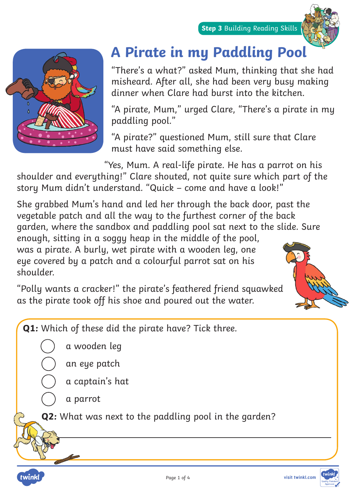



## **A Pirate in my Paddling Pool**

"There's a what?" asked Mum, thinking that she had misheard. After all, she had been very busy making dinner when Clare had burst into the kitchen.

"A pirate, Mum," urged Clare, "There's a pirate in my paddling pool."

"A pirate?" questioned Mum, still sure that Clare must have said something else.

"Yes, Mum. A real-life pirate. He has a parrot on his

shoulder and everything!" Clare shouted, not quite sure which part of the story Mum didn't understand. "Quick – come and have a look!"

She grabbed Mum's hand and led her through the back door, past the vegetable patch and all the way to the furthest corner of the back garden, where the sandbox and paddling pool sat next to the slide. Sure

enough, sitting in a soggy heap in the middle of the pool, was a pirate. A burly, wet pirate with a wooden leg, one eye covered by a patch and a colourful parrot sat on his shoulder.

"Polly wants a cracker!" the pirate's feathered friend squawked as the pirate took off his shoe and poured out the water.



**Q1:** Which of these did the pirate have? Tick three.

a wooden leg

an eye patch

a captain's hat

a parrot

twinkl

**Q2:** What was next to the paddling pool in the garden?

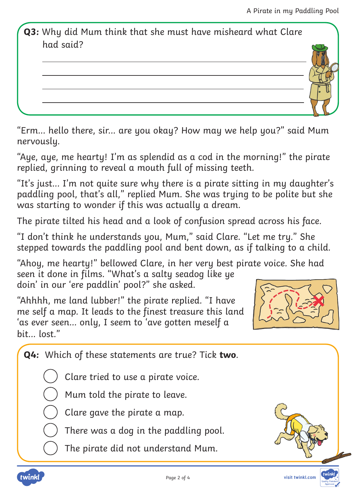**Q3:** Why did Mum think that she must have misheard what Clare had said?

"Erm... hello there, sir... are you okay? How may we help you?" said Mum nervously.

"Aye, aye, me hearty! I'm as splendid as a cod in the morning!" the pirate replied, grinning to reveal a mouth full of missing teeth.

"It's just... I'm not quite sure why there is a pirate sitting in my daughter's paddling pool, that's all," replied Mum. She was trying to be polite but she was starting to wonder if this was actually a dream.

The pirate tilted his head and a look of confusion spread across his face.

"I don't think he understands you, Mum," said Clare. "Let me try." She stepped towards the paddling pool and bent down, as if talking to a child.

"Ahoy, me hearty!" bellowed Clare, in her very best pirate voice. She had seen it done in films. "What's a salty seadog like ye doin' in our 'ere paddlin' pool?" she asked.

"Ahhhh, me land lubber!" the pirate replied. "I have me self a map. It leads to the finest treasure this land 'as ever seen... only, I seem to 'ave gotten meself a bit... lost."



**Q4:** Which of these statements are true? Tick **two**.

Clare tried to use a pirate voice.

Mum told the pirate to leave.

Clare gave the pirate a map.

There was a dog in the paddling pool.

The pirate did not understand Mum.



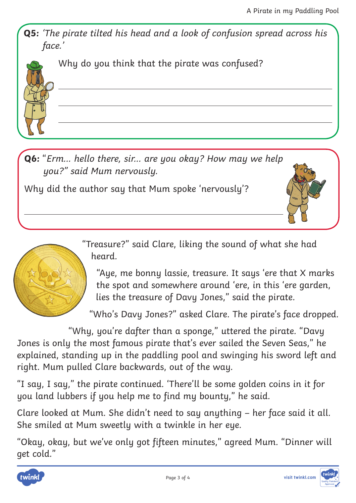**Q5:** 'The pirate tilted his head and a look of confusion spread across his face.'



Why do you think that the pirate was confused?

**Q6:** "Erm... hello there, sir... are you okay? How may we help you?" said Mum nervously.

Why did the author say that Mum spoke 'nervously'?





"Aye, me bonny lassie, treasure. It says 'ere that X marks the spot and somewhere around 'ere, in this 'ere garden, lies the treasure of Davy Jones," said the pirate.

"Who's Davy Jones?" asked Clare. The pirate's face dropped.

"Why, you're dafter than a sponge," uttered the pirate. "Davy Jones is only the most famous pirate that's ever sailed the Seven Seas," he explained, standing up in the paddling pool and swinging his sword left and right. Mum pulled Clare backwards, out of the way.

"I say, I say," the pirate continued. 'There'll be some golden coins in it for you land lubbers if you help me to find my bounty," he said.

Clare looked at Mum. She didn't need to say anything – her face said it all. She smiled at Mum sweetly with a twinkle in her eye.

"Okay, okay, but we've only got fifteen minutes," agreed Mum. "Dinner will get cold."



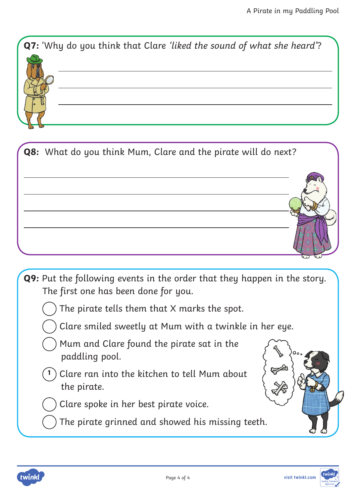



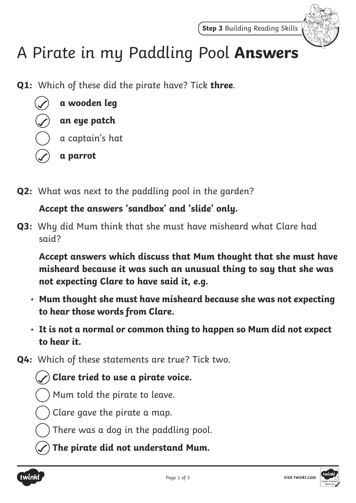

## A Pirate in my Paddling Pool **Answers**

**Q1:** Which of these did the pirate have? Tick **three**.



**Q2:** What was next to the paddling pool in the garden?

## **Accept the answers 'sandbox' and 'slide' only.**

**Q3:** Why did Mum think that she must have misheard what Clare had said?

**Accept answers which discuss that Mum thought that she must have misheard because it was such an unusual thing to say that she was not expecting Clare to have said it, e.g.**

- **Mum thought she must have misheard because she was not expecting to hear those words from Clare.**
- **It is not a normal or common thing to happen so Mum did not expect to hear it.**
- **Q4:** Which of these statements are true? Tick two.
	- **Clare tried to use a pirate voice.**
	- Mum told the pirate to leave.
	- Clare gave the pirate a map.
	- There was a dog in the paddling pool.
	- **The pirate did not understand Mum.**



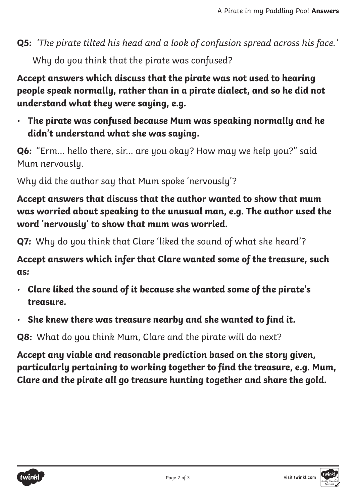**Q5:** 'The pirate tilted his head and a look of confusion spread across his face.' Why do you think that the pirate was confused?

**Accept answers which discuss that the pirate was not used to hearing people speak normally, rather than in a pirate dialect, and so he did not understand what they were saying, e.g.**

• **The pirate was confused because Mum was speaking normally and he didn't understand what she was saying.**

**Q6:** "Erm... hello there, sir... are you okay? How may we help you?" said Mum nervously.

Why did the author say that Mum spoke 'nervously'?

**Accept answers that discuss that the author wanted to show that mum was worried about speaking to the unusual man, e.g. The author used the word 'nervously' to show that mum was worried.** 

**Q7:** Why do you think that Clare 'liked the sound of what she heard'?

**Accept answers which infer that Clare wanted some of the treasure, such as:**

- **Clare liked the sound of it because she wanted some of the pirate's treasure.**
- **She knew there was treasure nearby and she wanted to find it.**

**Q8:** What do you think Mum, Clare and the pirate will do next?

**Accept any viable and reasonable prediction based on the story given, particularly pertaining to working together to find the treasure, e.g. Mum, Clare and the pirate all go treasure hunting together and share the gold.**